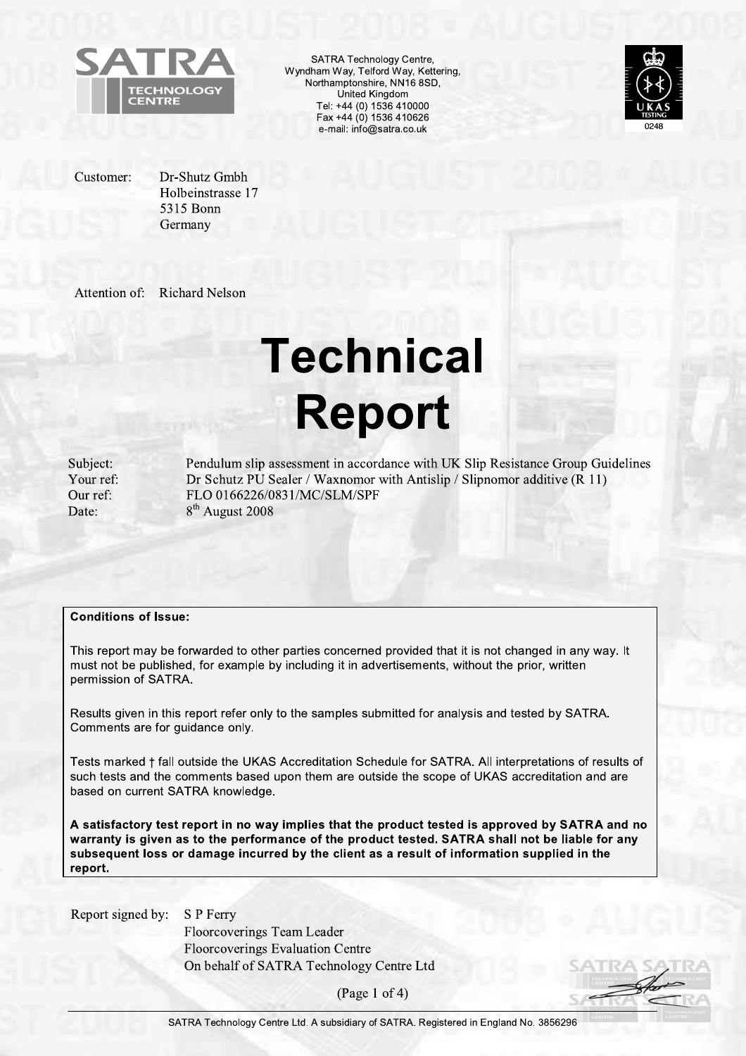

SATRA Technology Centre, Wyndham Way, Telford Way, Kettering, Northamptonshire, NN16 8SD, United Kingdom Tel: +44 (0) 1536 410000 Fax +44 (0) 1536 410626 e-mail: info@satra.co.uk



Customer:

Dr-Shutz Gmbh Holbeinstrasse 17 5315 Bonn Germany

Attention of: **Richard Nelson** 

# **Technical Report**

Subject: Your ref: Our ref: Date:

Pendulum slip assessment in accordance with UK Slip Resistance Group Guidelines Dr Schutz PU Sealer / Waxnomor with Antislip / Slipnomor additive (R 11) FLO 0166226/0831/MC/SLM/SPF 8<sup>th</sup> August 2008

#### **Conditions of Issue:**

This report may be forwarded to other parties concerned provided that it is not changed in any way. It must not be published, for example by including it in advertisements, without the prior, written permission of SATRA.

Results given in this report refer only to the samples submitted for analysis and tested by SATRA. Comments are for guidance only.

Tests marked + fall outside the UKAS Accreditation Schedule for SATRA. All interpretations of results of such tests and the comments based upon them are outside the scope of UKAS accreditation and are based on current SATRA knowledge.

A satisfactory test report in no way implies that the product tested is approved by SATRA and no warranty is given as to the performance of the product tested. SATRA shall not be liable for any subsequent loss or damage incurred by the client as a result of information supplied in the report.

Report signed by:

S P Ferry Floorcoverings Team Leader **Floorcoverings Evaluation Centre** On behalf of SATRA Technology Centre Ltd

(Page 1 of 4)

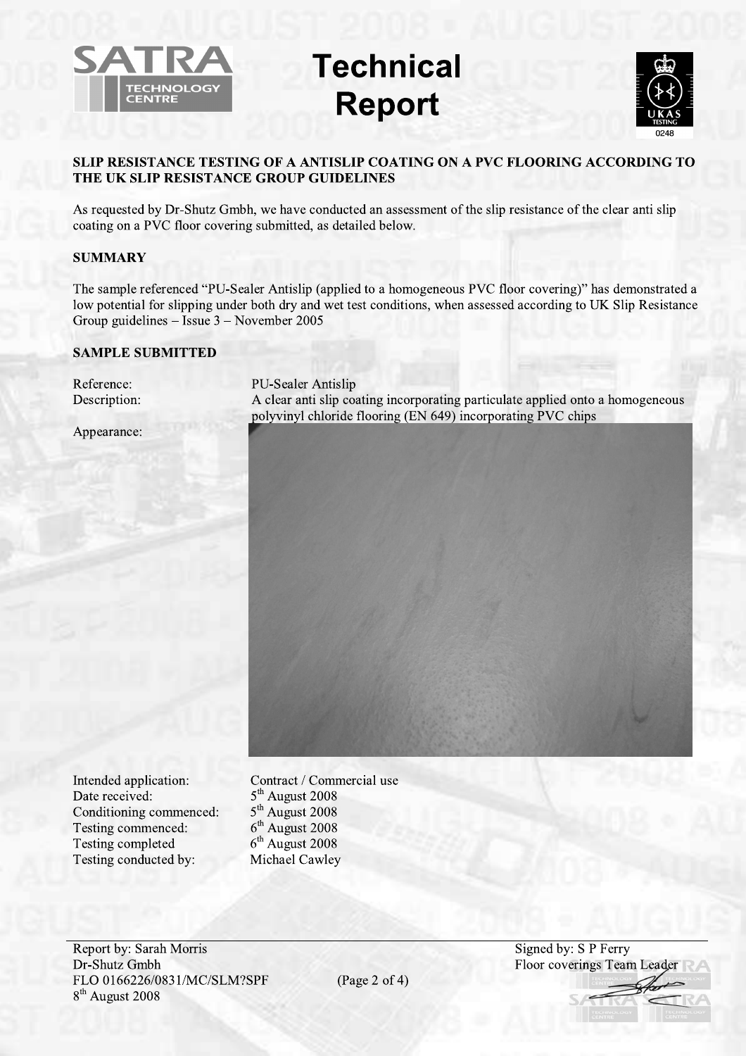

## **Technical Report**



## SLIP RESISTANCE TESTING OF A ANTISLIP COATING ON A PVC FLOORING ACCORDING TO THE UK SLIP RESISTANCE GROUP GUIDELINES

As requested by Dr-Shutz Gmbh, we have conducted an assessment of the slip resistance of the clear anti slip coating on a PVC floor covering submitted, as detailed below.

## **SUMMARY**

The sample referenced "PU-Sealer Antislip (applied to a homogeneous PVC floor covering)" has demonstrated a low potential for slipping under both dry and wet test conditions, when assessed according to UK Slip Resistance Group guidelines – Issue  $3$  – November 2005

## **SAMPLE SUBMITTED**

| Reference:<br>Description: | PU-Sealer Antislip<br>A clear anti slip coating incorporating particulate applied onto a homogeneous<br>polyvinyl chloride flooring (EN 649) incorporating PVC chips |  |  |  |
|----------------------------|----------------------------------------------------------------------------------------------------------------------------------------------------------------------|--|--|--|
| Appearance:                |                                                                                                                                                                      |  |  |  |
|                            |                                                                                                                                                                      |  |  |  |
|                            |                                                                                                                                                                      |  |  |  |
|                            |                                                                                                                                                                      |  |  |  |
|                            |                                                                                                                                                                      |  |  |  |
|                            |                                                                                                                                                                      |  |  |  |
|                            |                                                                                                                                                                      |  |  |  |
|                            |                                                                                                                                                                      |  |  |  |
|                            |                                                                                                                                                                      |  |  |  |

Intended application: Date received: Conditioning commenced: Testing commenced: Testing completed Testing conducted by:

Contract / Commercial use 5<sup>th</sup> August 2008  $5<sup>th</sup>$  August 2008  $6<sup>th</sup>$  August 2008  $6<sup>th</sup>$  August 2008 Michael Cawley

**Report by: Sarah Morris** Dr-Shutz Gmbh FLO 0166226/0831/MC/SLM?SPF 8<sup>th</sup> August 2008

(Page 2 of 4)

Signed by: S P Ferry Floor coverings Team Lead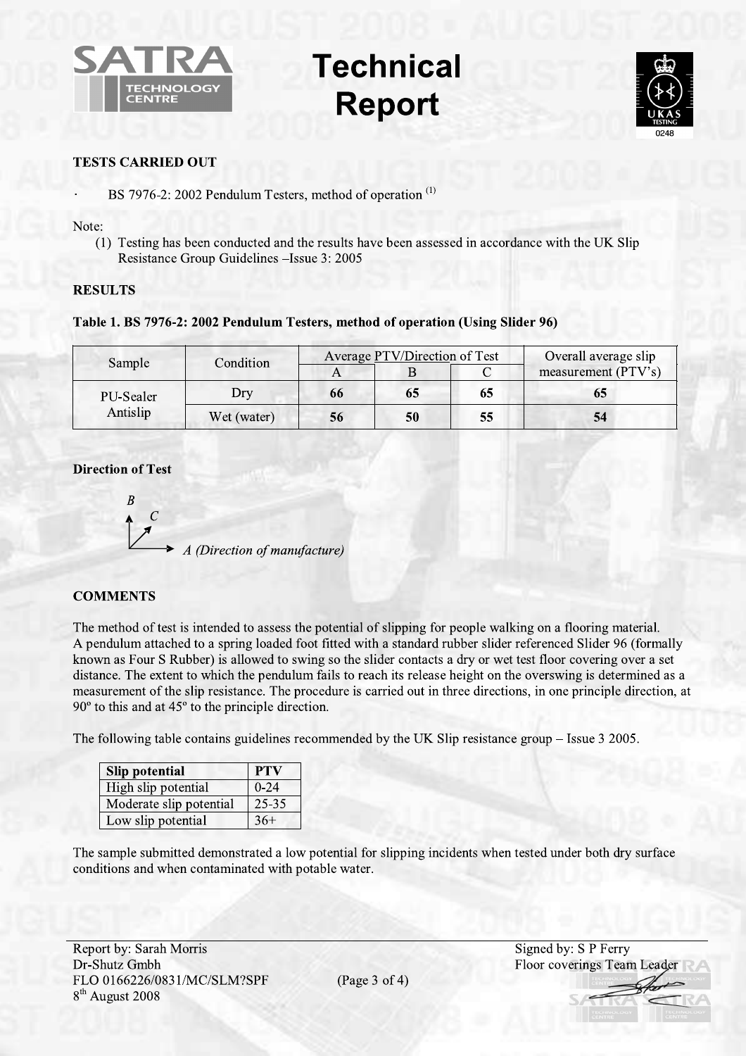

## **Technical Report**



## **TESTS CARRIED OUT**

BS 7976-2: 2002 Pendulum Testers, method of operation<sup>(1)</sup>

Note:

(1) Testing has been conducted and the results have been assessed in accordance with the UK Slip Resistance Group Guidelines - Issue 3: 2005

## **RESULTS**

## Table 1. BS 7976-2: 2002 Pendulum Testers, method of operation (Using Slider 96)

| Sample    | Condition   | Average PTV/Direction of Test |    |    | Overall average slip |
|-----------|-------------|-------------------------------|----|----|----------------------|
|           |             |                               |    |    | measurement (PTV's)  |
| PU-Sealer | Dry         | 66                            | 65 | 65 | 65                   |
| Antislip  | Wet (water) | 56                            | 50 | 55 | 54                   |

## **Direction of Test**



## **COMMENTS**

The method of test is intended to assess the potential of slipping for people walking on a flooring material. A pendulum attached to a spring loaded foot fitted with a standard rubber slider referenced Slider 96 (formally known as Four S Rubber) is allowed to swing so the slider contacts a dry or wet test floor covering over a set distance. The extent to which the pendulum fails to reach its release height on the overswing is determined as a measurement of the slip resistance. The procedure is carried out in three directions, in one principle direction, at  $90^{\circ}$  to this and at  $45^{\circ}$  to the principle direction.

The following table contains guidelines recommended by the UK Slip resistance group – Issue 3 2005.

| <b>Slip potential</b>   | <b>PTV</b> |
|-------------------------|------------|
| High slip potential     | $0 - 24$   |
| Moderate slip potential | 25-35      |
| Low slip potential      | $36+$      |

The sample submitted demonstrated a low potential for slipping incidents when tested under both dry surface conditions and when contaminated with potable water.

(Page  $3$  of  $4$ )

Signed by: S P Ferry Floor coverings Team Leader